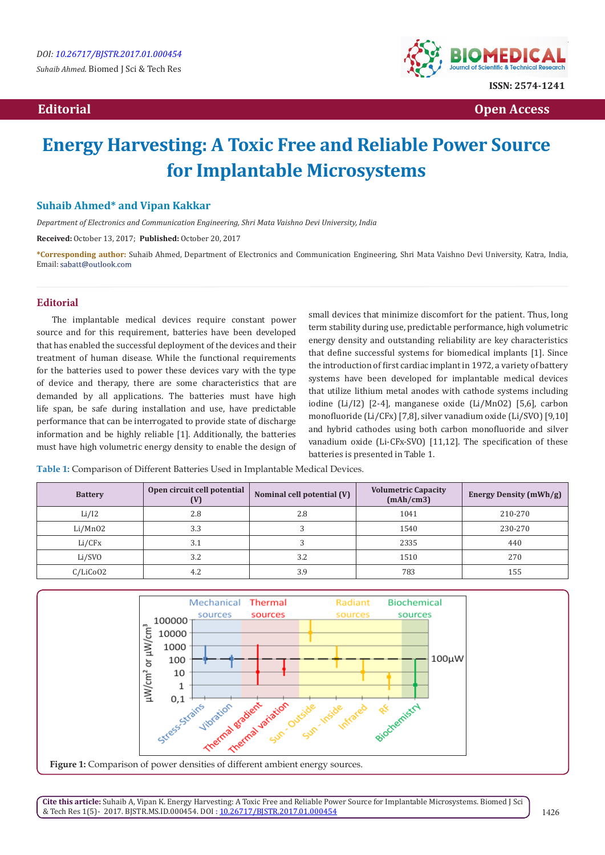

 **Editorial Open Access** 

## **Energy Harvesting: A Toxic Free and Reliable Power Source for Implantable Microsystems**

#### **Suhaib Ahmed\* and Vipan Kakkar**

*Department of Electronics and Communication Engineering, Shri Mata Vaishno Devi University, India*

**Received:** October 13, 2017; **Published:** October 20, 2017

**\*Corresponding author:** Suhaib Ahmed, Department of Electronics and Communication Engineering, Shri Mata Vaishno Devi University, Katra, India, Email: sabatt@outlook.com

#### **Editorial**

The implantable medical devices require constant power source and for this requirement, batteries have been developed that has enabled the successful deployment of the devices and their treatment of human disease. While the functional requirements for the batteries used to power these devices vary with the type of device and therapy, there are some characteristics that are demanded by all applications. The batteries must have high life span, be safe during installation and use, have predictable performance that can be interrogated to provide state of discharge information and be highly reliable [1]. Additionally, the batteries must have high volumetric energy density to enable the design of small devices that minimize discomfort for the patient. Thus, long term stability during use, predictable performance, high volumetric energy density and outstanding reliability are key characteristics that define successful systems for biomedical implants [1]. Since the introduction of first cardiac implant in 1972, a variety of battery systems have been developed for implantable medical devices that utilize lithium metal anodes with cathode systems including iodine (Li/I2) [2-4], manganese oxide (Li/MnO2) [5,6], carbon monofluoride (Li/CFx) [7,8], silver vanadium oxide (Li/SVO) [9,10] and hybrid cathodes using both carbon monofluoride and silver vanadium oxide (Li-CFx-SVO) [11,12]. The specification of these batteries is presented in Table 1.

**Table 1:** Comparison of Different Batteries Used in Implantable Medical Devices.

| <b>Battery</b> | Open circuit cell potential<br>(V) | Nominal cell potential (V) | <b>Volumetric Capacity</b><br>(mAh/cm3) | Energy Density (mWh/g) |
|----------------|------------------------------------|----------------------------|-----------------------------------------|------------------------|
| Li/I2          | 2.8                                | 2.8                        | 1041                                    | 210-270                |
| Li/MnO2        | 3.3                                |                            | 1540                                    | 230-270                |
| Li/CFx         | 3.1                                |                            | 2335                                    | 440                    |
| Li/SVO         | 3.2                                | 3.2                        | 1510                                    | 270                    |
| C/LiCo02       | 4.2                                | 3.9                        | 783                                     | 155                    |



**Cite this article:** Suhaib A, Vipan K. Energy Harvesting: A Toxic Free and Reliable Power Source for Implantable Microsystems. Biomed J Sci & Tech Res 1(5)- 2017. BJSTR.MS.ID.000454. DOI [: 10.26717/BJSTR.2017.01.000454](http://dx.doi.org/10.26717/BJSTR.2017.01.000454)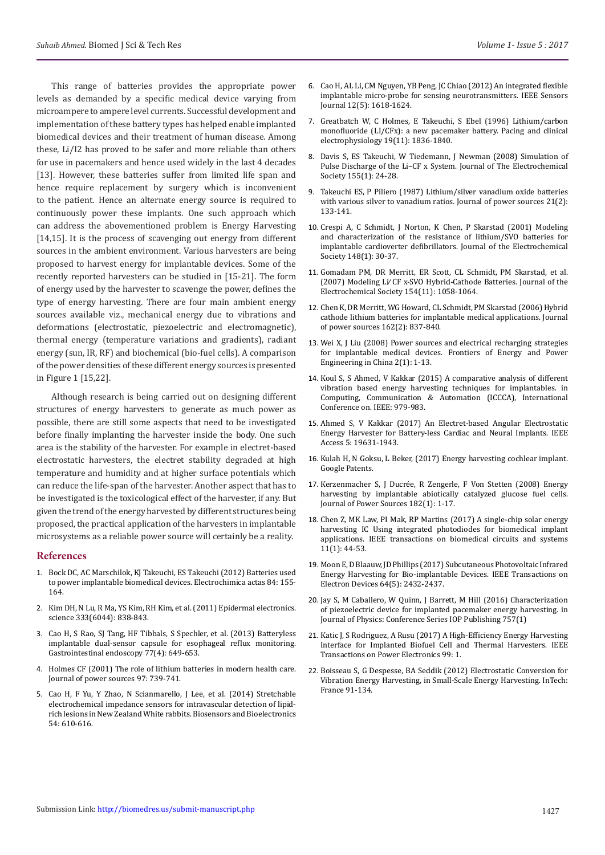This range of batteries provides the appropriate power levels as demanded by a specific medical device varying from microampere to ampere level currents. Successful development and implementation of these battery types has helped enable implanted biomedical devices and their treatment of human disease. Among these, Li/I2 has proved to be safer and more reliable than others for use in pacemakers and hence used widely in the last 4 decades [13]. However, these batteries suffer from limited life span and hence require replacement by surgery which is inconvenient to the patient. Hence an alternate energy source is required to continuously power these implants. One such approach which can address the abovementioned problem is Energy Harvesting [14,15]. It is the process of scavenging out energy from different sources in the ambient environment. Various harvesters are being proposed to harvest energy for implantable devices. Some of the recently reported harvesters can be studied in [15-21]. The form of energy used by the harvester to scavenge the power, defines the type of energy harvesting. There are four main ambient energy sources available viz., mechanical energy due to vibrations and deformations (electrostatic, piezoelectric and electromagnetic),

thermal energy (temperature variations and gradients), radiant energy (sun, IR, RF) and biochemical (bio-fuel cells). A comparison of the power densities of these different energy sources is presented in Figure 1 [15,22].

Although research is being carried out on designing different structures of energy harvesters to generate as much power as possible, there are still some aspects that need to be investigated before finally implanting the harvester inside the body. One such area is the stability of the harvester. For example in electret-based electrostatic harvesters, the electret stability degraded at high temperature and humidity and at higher surface potentials which can reduce the life-span of the harvester. Another aspect that has to be investigated is the toxicological effect of the harvester, if any. But given the trend of the energy harvested by different structures being proposed, the practical application of the harvesters in implantable microsystems as a reliable power source will certainly be a reality.

#### **References**

- 1. [Bock DC, AC Marschilok, KJ Takeuchi, ES Takeuchi \(2012\) Batteries used](https://inis.iaea.org/search/search.aspx?orig_q=RN:44092420)  [to power implantable biomedical devices. Electrochimica actas 84: 155-](https://inis.iaea.org/search/search.aspx?orig_q=RN:44092420) [164.](https://inis.iaea.org/search/search.aspx?orig_q=RN:44092420)
- 2. [Kim DH, N Lu, R Ma, YS Kim, RH Kim, et al. \(2011\) Epidermal electronics.](http://science.sciencemag.org/content/333/6044/838)  [science 333\(6044\): 838-843.](http://science.sciencemag.org/content/333/6044/838)
- 3. [Cao H, S Rao, SJ Tang, HF Tibbals, S Spechler, et al. \(2013\) Batteryless](http://www.giejournal.org/article/S0016-5107(12)02865-9/abstract)  [implantable dual-sensor capsule for esophageal reflux monitoring.](http://www.giejournal.org/article/S0016-5107(12)02865-9/abstract)  [Gastrointestinal endoscopy 77\(4\): 649-653.](http://www.giejournal.org/article/S0016-5107(12)02865-9/abstract)
- 4. [Holmes CF \(2001\) The role of lithium batteries in modern health care.](http://adsabs.harvard.edu/abs/2001JPS....97..739H)  [Journal of power sources 97: 739-741.](http://adsabs.harvard.edu/abs/2001JPS....97..739H)
- 5. [Cao H, F Yu, Y Zhao, N Scianmarello, J Lee, et al. \(2014\) Stretchable](https://www.ncbi.nlm.nih.gov/pubmed/24333932)  [electrochemical impedance sensors for intravascular detection of lipid](https://www.ncbi.nlm.nih.gov/pubmed/24333932)[rich lesions in New Zealand White rabbits. Biosensors and Bioelectronics](https://www.ncbi.nlm.nih.gov/pubmed/24333932)  [54: 610-616.](https://www.ncbi.nlm.nih.gov/pubmed/24333932)
- 6. [Cao H, AL Li, CM Nguyen, YB Peng, JC Chiao \(2012\) An integrated flexible](http://ieeexplore.ieee.org/document/6061912/) [implantable micro-probe for sensing neurotransmitters. IEEE Sensors](http://ieeexplore.ieee.org/document/6061912/) [Journal 12\(5\): 1618-1624.](http://ieeexplore.ieee.org/document/6061912/)
- 7. [Greatbatch W, C Holmes, E Takeuchi, S Ebel \(1996\) Lithium/carbon](https://www.ncbi.nlm.nih.gov/pubmed/8945052) [monofluoride \(LI/CFx\): a new pacemaker battery. Pacing and clinical](https://www.ncbi.nlm.nih.gov/pubmed/8945052) [electrophysiology 19\(11\): 1836-1840.](https://www.ncbi.nlm.nih.gov/pubmed/8945052)
- 8. [Davis S, ES Takeuchi, W Tiedemann, J Newman \(2008\) Simulation of](http://jes.ecsdl.org/content/155/1/A24.abstract) [Pulse Discharge of the Li–CF x System. Journal of The Electrochemical](http://jes.ecsdl.org/content/155/1/A24.abstract) [Society 155\(1\): 24-28.](http://jes.ecsdl.org/content/155/1/A24.abstract)
- 9. [Takeuchi ES, P Piliero \(1987\) Lithium/silver vanadium oxide batteries](http://adsabs.harvard.edu/abs/1987JPS....21..133T) [with various silver to vanadium ratios. Journal of power sources 21\(2\):](http://adsabs.harvard.edu/abs/1987JPS....21..133T) [133-141.](http://adsabs.harvard.edu/abs/1987JPS....21..133T)
- 10. [Crespi A, C Schmidt, J Norton, K Chen, P Skarstad \(2001\) Modeling](http://jes.ecsdl.org/content/148/1/A30.abstract) [and characterization of the resistance of lithium/SVO batteries for](http://jes.ecsdl.org/content/148/1/A30.abstract) [implantable cardioverter defibrillators. Journal of the Electrochemical](http://jes.ecsdl.org/content/148/1/A30.abstract) [Society 148\(1\): 30-37.](http://jes.ecsdl.org/content/148/1/A30.abstract)
- 11. Gomadam PM, DR Merritt, ER Scott, CL Schmidt, PM Skarstad, et al. (2007) Modeling Li∕ CF x-SVO Hybrid-Cathode Batteries. Journal of the Electrochemical Society 154(11): 1058-1064.
- 12. [Chen K, DR Merritt, WG Howard, CL Schmidt, PM Skarstad \(2006\) Hybrid](http://www.sciencedirect.com/science/article/pii/S037877530500861X) [cathode lithium batteries for implantable medical applications. Journal](http://www.sciencedirect.com/science/article/pii/S037877530500861X) [of power sources 162\(2\): 837-840.](http://www.sciencedirect.com/science/article/pii/S037877530500861X)
- 13. [Wei X, J Liu \(2008\) Power sources and electrical recharging strategies](https://link.springer.com/article/10.1007/s11708-008-0016-3) [for implantable medical devices. Frontiers of Energy and Power](https://link.springer.com/article/10.1007/s11708-008-0016-3) [Engineering in China 2\(1\): 1-13.](https://link.springer.com/article/10.1007/s11708-008-0016-3)
- 14. [Koul S, S Ahmed, V Kakkar \(2015\) A comparative analysis of different](http://ieeexplore.ieee.org/document/7148517/?reload=true) [vibration based energy harvesting techniques for implantables. in](http://ieeexplore.ieee.org/document/7148517/?reload=true) [Computing, Communication & Automation \(ICCCA\), International](http://ieeexplore.ieee.org/document/7148517/?reload=true) [Conference on. IEEE: 979-983.](http://ieeexplore.ieee.org/document/7148517/?reload=true)
- 15. [Ahmed S, V Kakkar \(2017\) An Electret-based Angular Electrostatic](http://ieeexplore.ieee.org/document/8010270/) [Energy Harvester for Battery-less Cardiac and Neural Implants. IEEE](http://ieeexplore.ieee.org/document/8010270/) [Access 5: 19631-1943.](http://ieeexplore.ieee.org/document/8010270/)
- 16. Kulah H, N Goksu, L Beker, (2017) Energy harvesting cochlear implant. Google Patents.
- 17. [Kerzenmacher S, J Ducrée, R Zengerle, F Von Stetten \(2008\) Energy](http://www.sciencedirect.com/science/article/pii/S0378775308005922) [harvesting by implantable abiotically catalyzed glucose fuel cells.](http://www.sciencedirect.com/science/article/pii/S0378775308005922) [Journal of Power Sources 182\(1\): 1-17.](http://www.sciencedirect.com/science/article/pii/S0378775308005922)
- 18. [Chen Z, MK Law, PI Mak, RP Martins \(2017\) A single-chip solar energy](http://ieeexplore.ieee.org/document/7527674/) [harvesting IC Using integrated photodiodes for biomedical implant](http://ieeexplore.ieee.org/document/7527674/) [applications. IEEE transactions on biomedical circuits and systems](http://ieeexplore.ieee.org/document/7527674/) [11\(1\): 44-53](http://ieeexplore.ieee.org/document/7527674/).
- 19. [Moon E, D Blaauw, JD Phillips \(2017\) Subcutaneous Photovoltaic Infrared](http://ieeexplore.ieee.org/document/7887739/) [Energy Harvesting for Bio-implantable Devices. IEEE Transactions on](http://ieeexplore.ieee.org/document/7887739/) [Electron Devices 64\(5\): 2432-2437.](http://ieeexplore.ieee.org/document/7887739/)
- 20. [Jay S, M Caballero, W Quinn, J Barrett, M Hill \(2016\) Characterization](http://iopscience.iop.org/article/10.1088/1742-6596/757/1/012038/meta) [of piezoelectric device for implanted pacemaker energy harvesting. in](http://iopscience.iop.org/article/10.1088/1742-6596/757/1/012038/meta) [Journal of Physics: Conference Series IOP Publishing 757\(1\)](http://iopscience.iop.org/article/10.1088/1742-6596/757/1/012038/meta)
- 21. [Katic J, S Rodriguez, A Rusu \(2017\) A High-Efficiency Energy Harvesting](http://ieeexplore.ieee.org/document/7940053/) [Interface for Implanted Biofuel Cell and Thermal Harvesters. IEEE](http://ieeexplore.ieee.org/document/7940053/) [Transactions on Power Electronics 99: 1.](http://ieeexplore.ieee.org/document/7940053/)
- 22. [Boisseau S, G Despesse, BA Seddik \(2012\) Electrostatic Conversion for](https://arxiv.org/ftp/arxiv/papers/1210/1210.5191.pdf) [Vibration Energy Harvesting, in Small-Scale Energy Harvesting. InTech:](https://arxiv.org/ftp/arxiv/papers/1210/1210.5191.pdf) [France 91-134.](https://arxiv.org/ftp/arxiv/papers/1210/1210.5191.pdf)